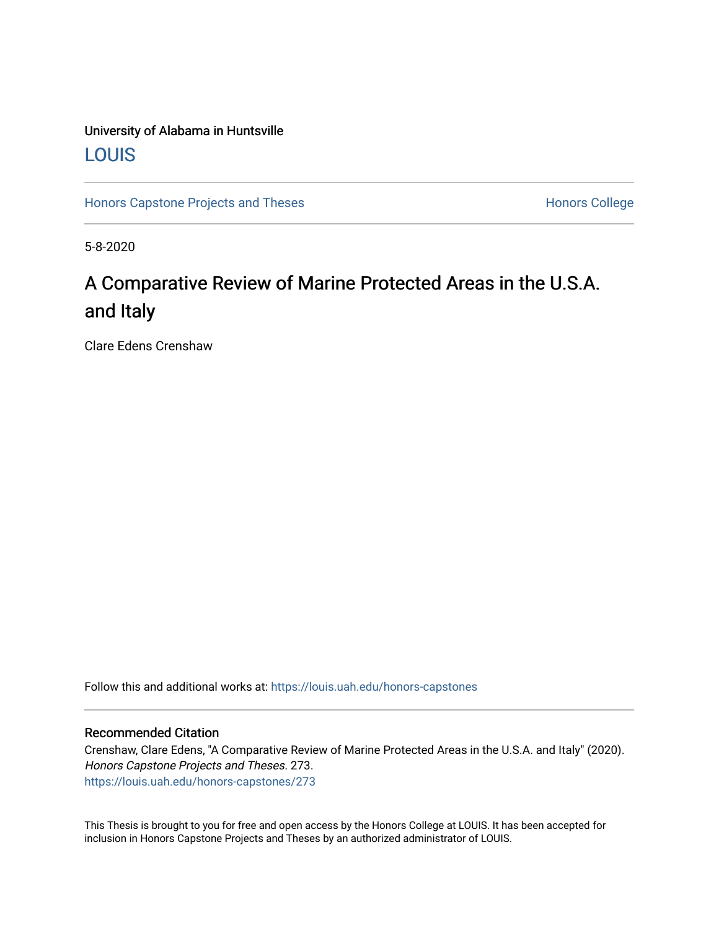### University of Alabama in Huntsville [LOUIS](https://louis.uah.edu/)

[Honors Capstone Projects and Theses](https://louis.uah.edu/honors-capstones) **Honors College** Honors College

5-8-2020

# A Comparative Review of Marine Protected Areas in the U.S.A. and Italy

Clare Edens Crenshaw

Follow this and additional works at: [https://louis.uah.edu/honors-capstones](https://louis.uah.edu/honors-capstones?utm_source=louis.uah.edu%2Fhonors-capstones%2F273&utm_medium=PDF&utm_campaign=PDFCoverPages) 

#### Recommended Citation

Crenshaw, Clare Edens, "A Comparative Review of Marine Protected Areas in the U.S.A. and Italy" (2020). Honors Capstone Projects and Theses. 273. [https://louis.uah.edu/honors-capstones/273](https://louis.uah.edu/honors-capstones/273?utm_source=louis.uah.edu%2Fhonors-capstones%2F273&utm_medium=PDF&utm_campaign=PDFCoverPages) 

This Thesis is brought to you for free and open access by the Honors College at LOUIS. It has been accepted for inclusion in Honors Capstone Projects and Theses by an authorized administrator of LOUIS.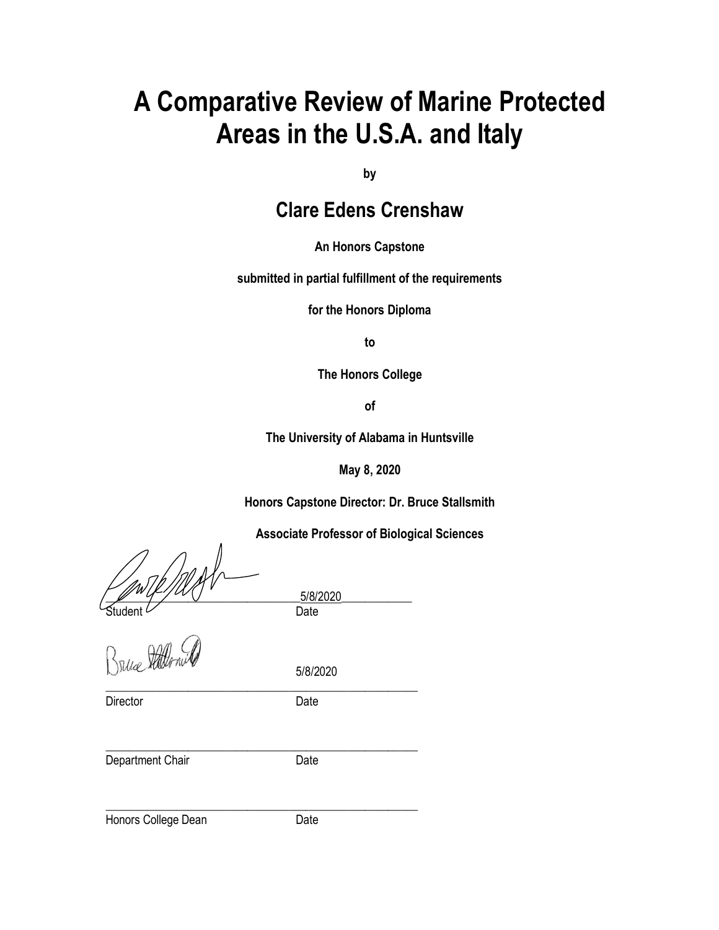# **A Comparative Review of Marine Protected Areas in the U.S.A. and Italy**

**by**

# **Clare Edens Crenshaw**

**An Honors Capstone**

**submitted in partial fulfillment of the requirements** 

**for the Honors Diploma** 

**to** 

**The Honors College** 

**of** 

**The University of Alabama in Huntsville**

**May 8, 2020**

**Honors Capstone Director: Dr. Bruce Stallsmith**

**Associate Professor of Biological Sciences**

 $\frac{5/8/2020}{\text{Student}}$ 

Student Date<br>Britise Rallow D

Director Date

5/8/2020

\_\_\_\_\_\_\_\_\_\_\_\_\_\_\_\_\_\_\_\_\_\_\_\_\_\_\_\_\_\_\_\_\_\_\_\_\_\_\_\_\_\_\_\_\_\_\_\_\_\_\_\_\_

Department Chair **Date** 

\_\_\_\_\_\_\_\_\_\_\_\_\_\_\_\_\_\_\_\_\_\_\_\_\_\_\_\_\_\_\_\_\_\_\_\_\_\_\_\_\_\_\_\_\_\_\_\_\_\_\_\_\_

Honors College Dean Date

\_\_\_\_\_\_\_\_\_\_\_\_\_\_\_\_\_\_\_\_\_\_\_\_\_\_\_\_\_\_\_\_\_\_\_\_\_\_\_\_\_\_\_\_\_\_\_\_\_\_\_\_\_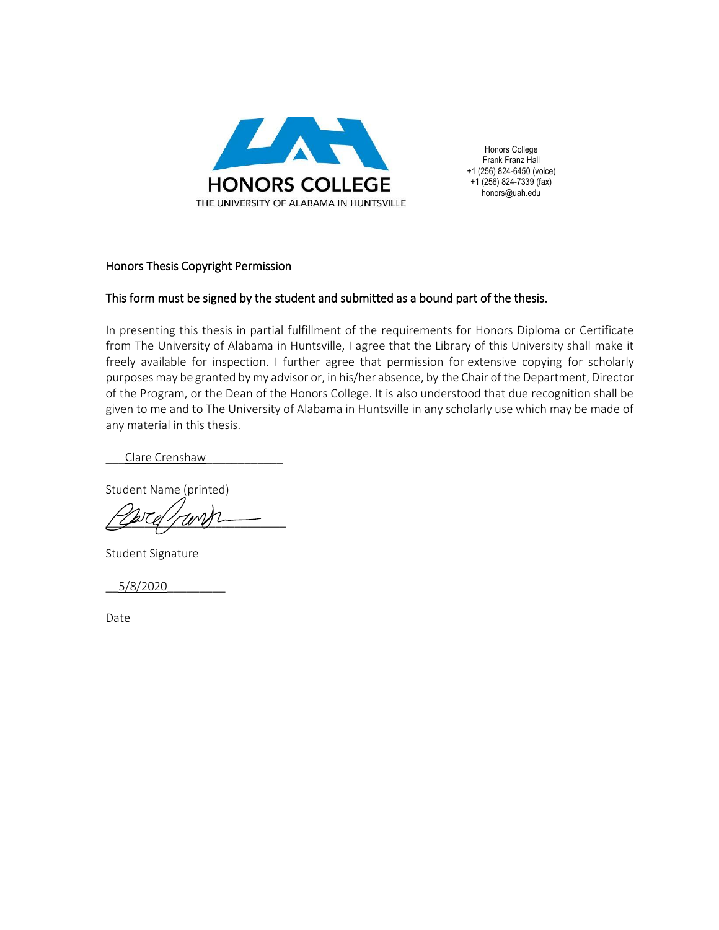

Honors College Frank Franz Hall +1 (256) 824-6450 (voice) +1 (256) 824-7339 (fax) honors@uah.edu

#### Honors Thesis Copyright Permission

#### This form must be signed by the student and submitted as a bound part of the thesis.

In presenting this thesis in partial fulfillment of the requirements for Honors Diploma or Certificate from The University of Alabama in Huntsville, I agree that the Library of this University shall make it freely available for inspection. I further agree that permission for extensive copying for scholarly purposes may be granted by my advisor or, in his/her absence, by the Chair of the Department, Director of the Program, or the Dean of the Honors College. It is also understood that due recognition shall be given to me and to The University of Alabama in Huntsville in any scholarly use which may be made of any material in this thesis.

Clare Crenshaw

Student Name (printed)

 $\sqrt{2}$  and  $\sqrt{2}$ 

Student Signature

\_\_5/8/2020\_\_\_\_\_\_\_\_\_

Date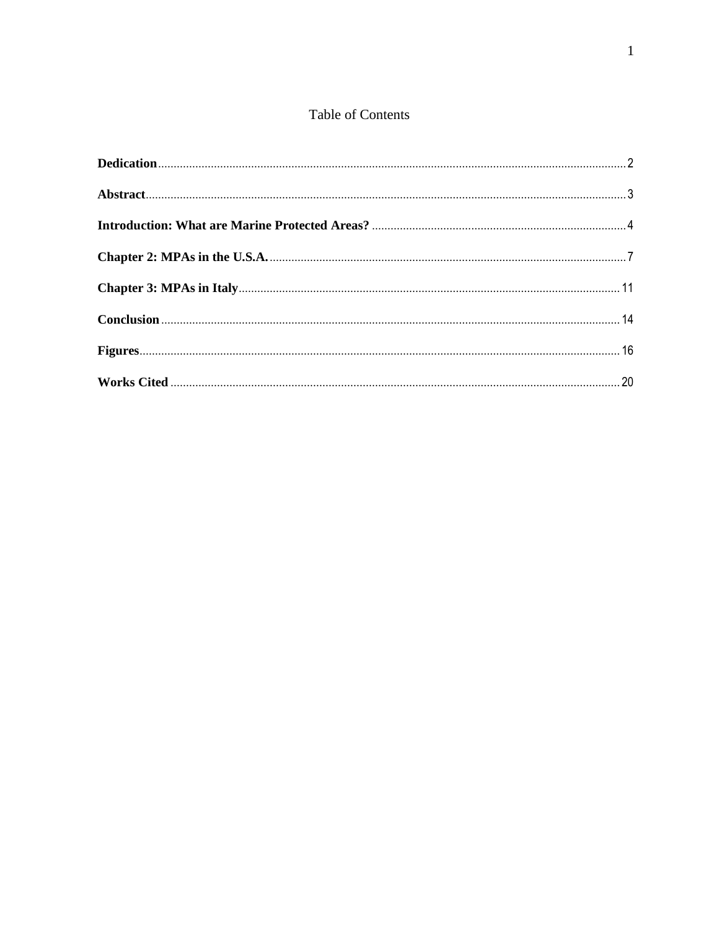### Table of Contents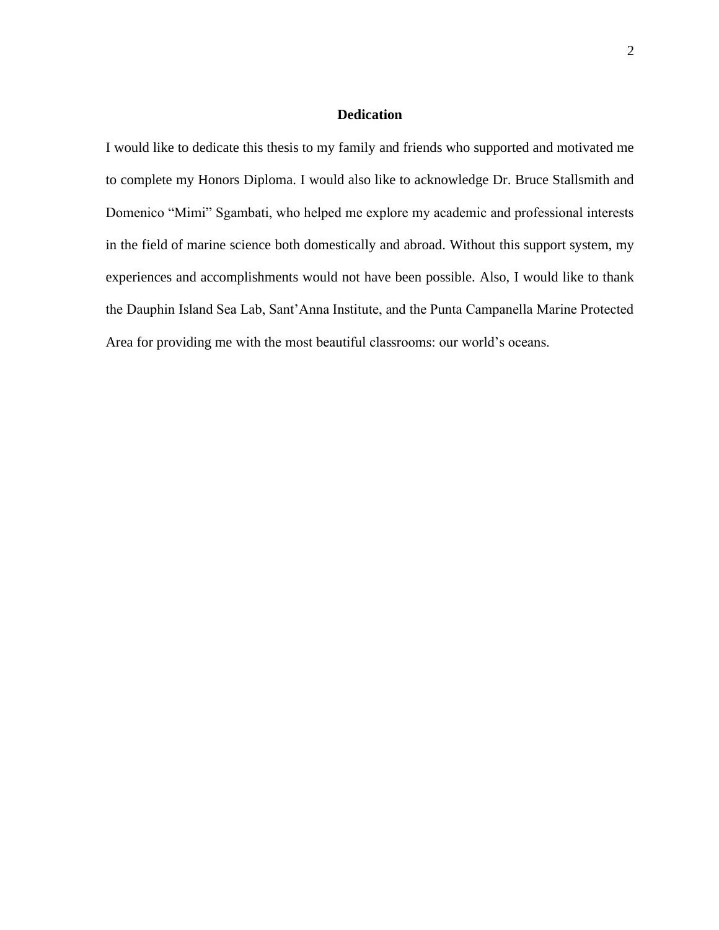#### **Dedication**

<span id="page-4-0"></span>I would like to dedicate this thesis to my family and friends who supported and motivated me to complete my Honors Diploma. I would also like to acknowledge Dr. Bruce Stallsmith and Domenico "Mimi" Sgambati, who helped me explore my academic and professional interests in the field of marine science both domestically and abroad. Without this support system, my experiences and accomplishments would not have been possible. Also, I would like to thank the Dauphin Island Sea Lab, Sant'Anna Institute, and the Punta Campanella Marine Protected Area for providing me with the most beautiful classrooms: our world's oceans.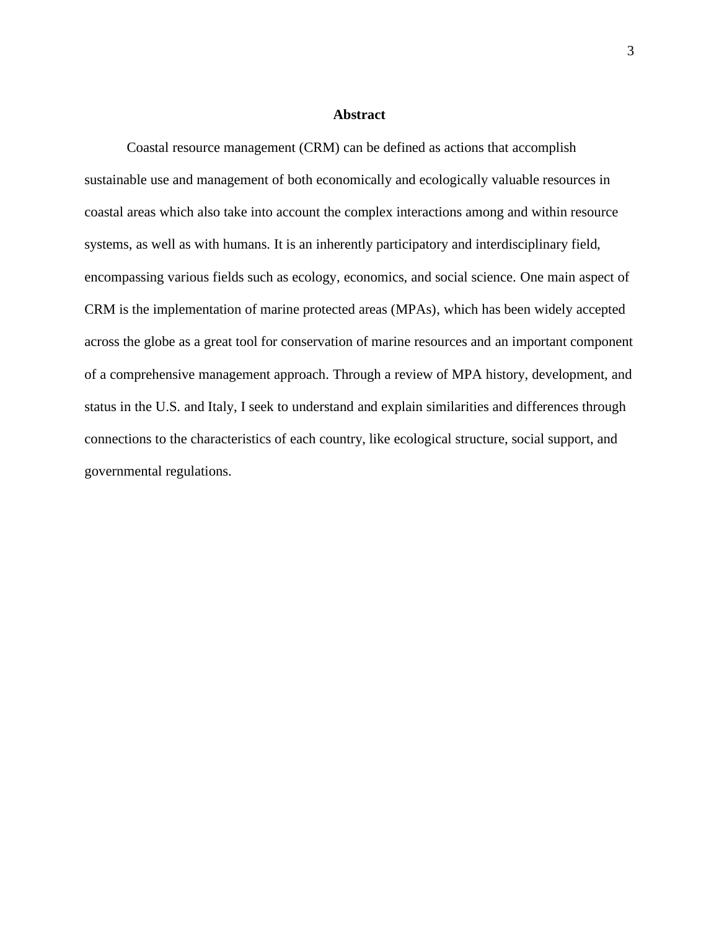#### **Abstract**

<span id="page-5-0"></span>Coastal resource management (CRM) can be defined as actions that accomplish sustainable use and management of both economically and ecologically valuable resources in coastal areas which also take into account the complex interactions among and within resource systems, as well as with humans. It is an inherently participatory and interdisciplinary field, encompassing various fields such as ecology, economics, and social science. One main aspect of CRM is the implementation of marine protected areas (MPAs), which has been widely accepted across the globe as a great tool for conservation of marine resources and an important component of a comprehensive management approach. Through a review of MPA history, development, and status in the U.S. and Italy, I seek to understand and explain similarities and differences through connections to the characteristics of each country, like ecological structure, social support, and governmental regulations.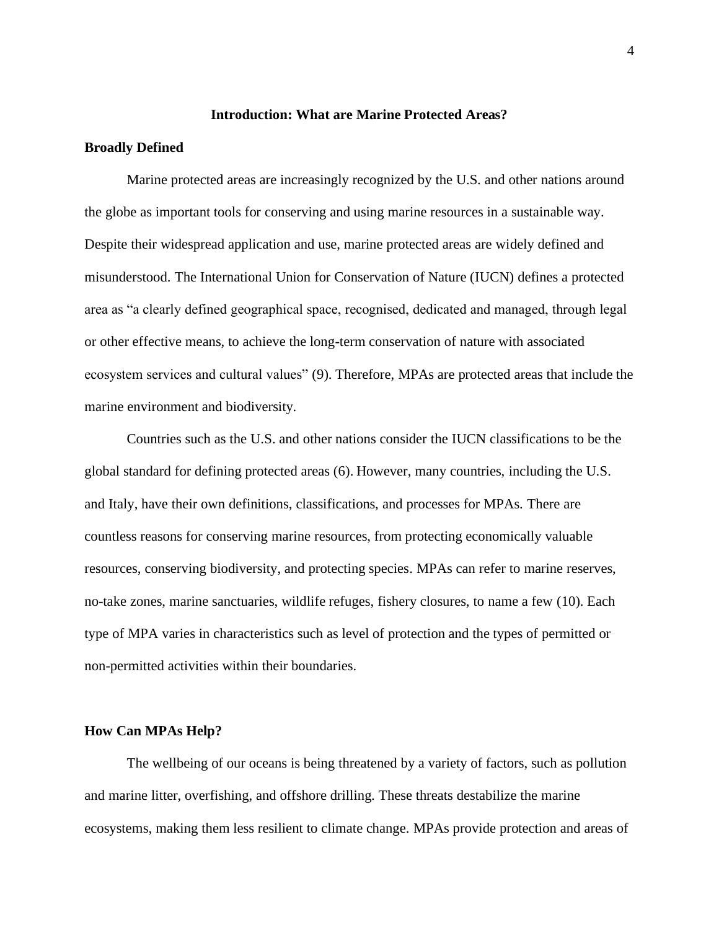#### **Introduction: What are Marine Protected Areas?**

#### <span id="page-6-0"></span>**Broadly Defined**

Marine protected areas are increasingly recognized by the U.S. and other nations around the globe as important tools for conserving and using marine resources in a sustainable way. Despite their widespread application and use, marine protected areas are widely defined and misunderstood. The International Union for Conservation of Nature (IUCN) defines a protected area as "a clearly defined geographical space, recognised, dedicated and managed, through legal or other effective means, to achieve the long-term conservation of nature with associated ecosystem services and cultural values" (9). Therefore, MPAs are protected areas that include the marine environment and biodiversity.

Countries such as the U.S. and other nations consider the IUCN classifications to be the global standard for defining protected areas (6). However, many countries, including the U.S. and Italy, have their own definitions, classifications, and processes for MPAs. There are countless reasons for conserving marine resources, from protecting economically valuable resources, conserving biodiversity, and protecting species. MPAs can refer to marine reserves, no-take zones, marine sanctuaries, wildlife refuges, fishery closures, to name a few (10). Each type of MPA varies in characteristics such as level of protection and the types of permitted or non-permitted activities within their boundaries.

#### **How Can MPAs Help?**

The wellbeing of our oceans is being threatened by a variety of factors, such as pollution and marine litter, overfishing, and offshore drilling. These threats destabilize the marine ecosystems, making them less resilient to climate change. MPAs provide protection and areas of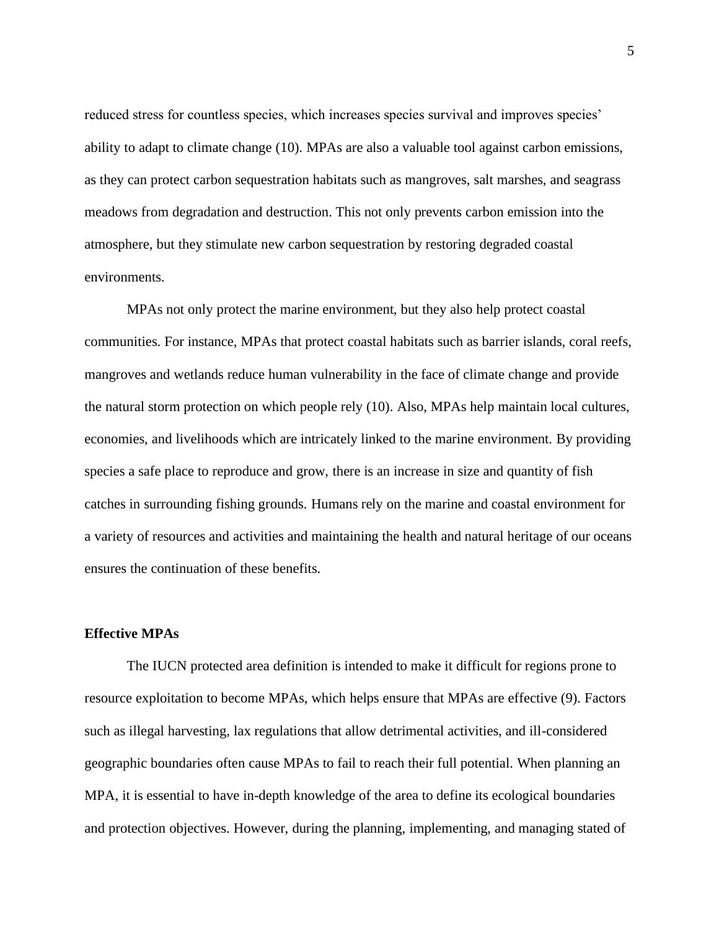reduced stress for countless species, which increases species survival and improves species' ability to adapt to climate change (10). MPAs are also a valuable tool against carbon emissions, as they can protect carbon sequestration habitats such as mangroves, salt marshes, and seagrass meadows from degradation and destruction. This not only prevents carbon emission into the atmosphere, but they stimulate new carbon sequestration by restoring degraded coastal environments.

MPAs not only protect the marine environment, but they also help protect coastal communities. For instance, MPAs that protect coastal habitats such as barrier islands, coral reefs, mangroves and wetlands reduce human vulnerability in the face of climate change and provide the natural storm protection on which people rely (10). Also, MPAs help maintain local cultures, economies, and livelihoods which are intricately linked to the marine environment*.* By providing species a safe place to reproduce and grow, there is an increase in size and quantity of fish catches in surrounding fishing grounds. Humans rely on the marine and coastal environment for a variety of resources and activities and maintaining the health and natural heritage of our oceans ensures the continuation of these benefits.

#### **Effective MPAs**

The IUCN protected area definition is intended to make it difficult for regions prone to resource exploitation to become MPAs, which helps ensure that MPAs are effective (9). Factors such as illegal harvesting, lax regulations that allow detrimental activities, and ill-considered geographic boundaries often cause MPAs to fail to reach their full potential. When planning an MPA, it is essential to have in-depth knowledge of the area to define its ecological boundaries and protection objectives. However, during the planning, implementing, and managing stated of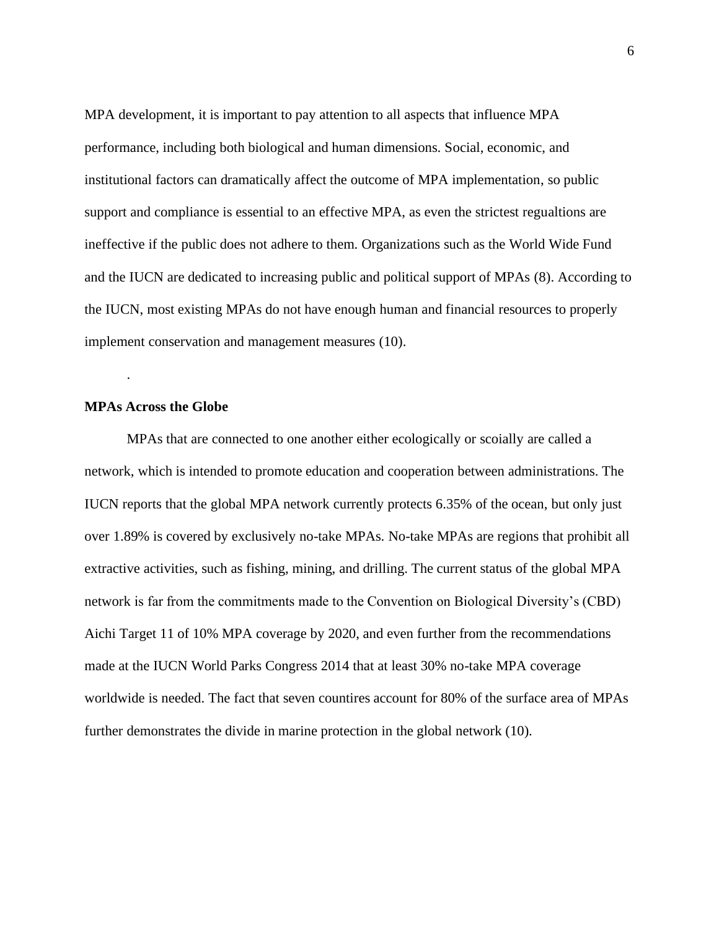MPA development, it is important to pay attention to all aspects that influence MPA performance, including both biological and human dimensions. Social, economic, and institutional factors can dramatically affect the outcome of MPA implementation, so public support and compliance is essential to an effective MPA, as even the strictest regualtions are ineffective if the public does not adhere to them. Organizations such as the World Wide Fund and the IUCN are dedicated to increasing public and political support of MPAs (8). According to the IUCN, most existing MPAs do not have enough human and financial resources to properly implement conservation and management measures (10).

#### **MPAs Across the Globe**

.

MPAs that are connected to one another either ecologically or scoially are called a network, which is intended to promote education and cooperation between administrations. The IUCN reports that the global MPA network currently protects 6.35% of the ocean, but only just over 1.89% is covered by exclusively no-take MPAs. No-take MPAs are regions that prohibit all extractive activities, such as fishing, mining, and drilling. The current status of the global MPA network is far from the commitments made to the Convention on Biological Diversity's (CBD) Aichi Target 11 of 10% MPA coverage by 2020, and even further from the recommendations made at the IUCN World Parks Congress 2014 that at least 30% no-take MPA coverage worldwide is needed. The fact that seven countires account for 80% of the surface area of MPAs further demonstrates the divide in marine protection in the global network (10).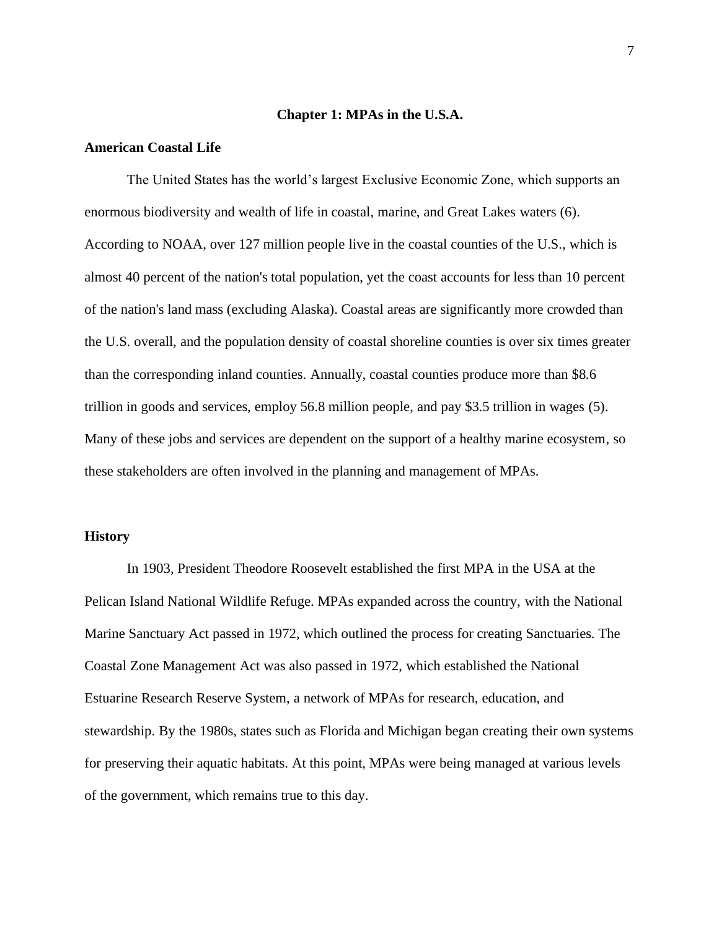#### **Chapter 1: MPAs in the U.S.A.**

#### <span id="page-9-0"></span>**American Coastal Life**

The United States has the world's largest Exclusive Economic Zone, which supports an enormous biodiversity and wealth of life in coastal, marine, and Great Lakes waters (6). According to NOAA, over 127 million people live in the coastal counties of the U.S., which is almost 40 percent of the nation's total population, yet the coast accounts for less than 10 percent of the nation's land mass (excluding Alaska). Coastal areas are significantly more crowded than the U.S. overall, and the population density of coastal shoreline counties is over six times greater than the corresponding inland counties. Annually, coastal counties produce more than \$8.6 trillion in goods and services, employ 56.8 million people, and pay \$3.5 trillion in wages (5). Many of these jobs and services are dependent on the support of a healthy marine ecosystem, so these stakeholders are often involved in the planning and management of MPAs.

#### **History**

In 1903, President Theodore Roosevelt established the first MPA in the USA at the Pelican Island National Wildlife Refuge. MPAs expanded across the country, with the National Marine Sanctuary Act passed in 1972, which outlined the process for creating Sanctuaries. The Coastal Zone Management Act was also passed in 1972, which established the National Estuarine Research Reserve System, a network of MPAs for research, education, and stewardship. By the 1980s, states such as Florida and Michigan began creating their own systems for preserving their aquatic habitats. At this point, MPAs were being managed at various levels of the government, which remains true to this day.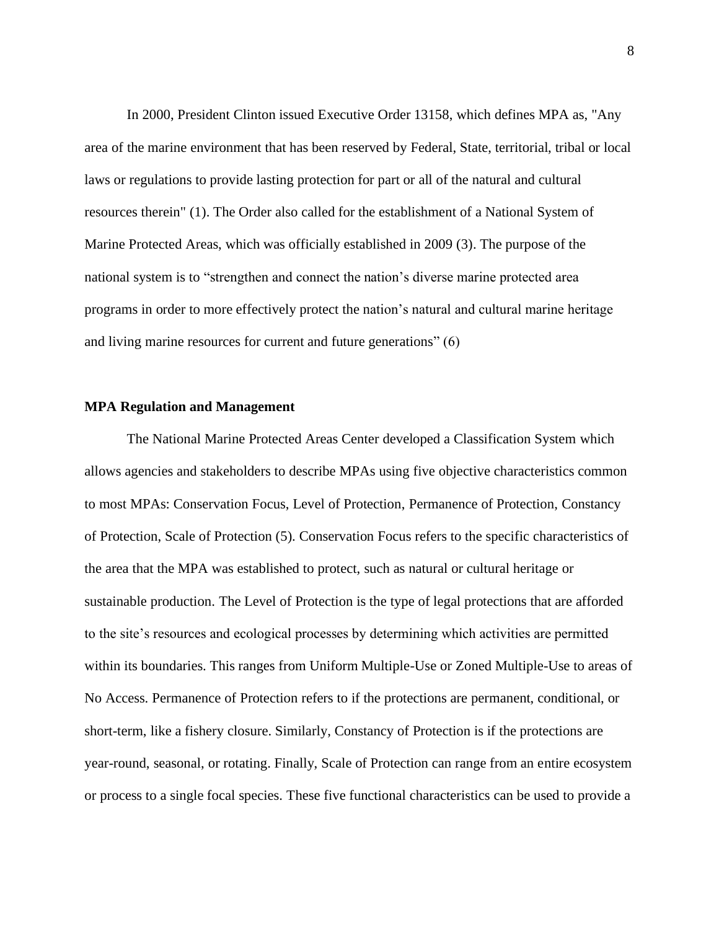In 2000, President Clinton issued Executive Order 13158, which defines MPA as, "Any area of the marine environment that has been reserved by Federal, State, territorial, tribal or local laws or regulations to provide lasting protection for part or all of the natural and cultural resources therein" (1). The Order also called for the establishment of a National System of Marine Protected Areas, which was officially established in 2009 (3). The purpose of the national system is to "strengthen and connect the nation's diverse marine protected area programs in order to more effectively protect the nation's natural and cultural marine heritage and living marine resources for current and future generations" (6)

#### **MPA Regulation and Management**

The National Marine Protected Areas Center developed a Classification System which allows agencies and stakeholders to describe MPAs using five objective characteristics common to most MPAs: Conservation Focus, Level of Protection, Permanence of Protection, Constancy of Protection, Scale of Protection (5). Conservation Focus refers to the specific characteristics of the area that the MPA was established to protect, such as natural or cultural heritage or sustainable production. The Level of Protection is the type of legal protections that are afforded to the site's resources and ecological processes by determining which activities are permitted within its boundaries. This ranges from Uniform Multiple-Use or Zoned Multiple-Use to areas of No Access. Permanence of Protection refers to if the protections are permanent, conditional, or short-term, like a fishery closure. Similarly, Constancy of Protection is if the protections are year-round, seasonal, or rotating. Finally, Scale of Protection can range from an entire ecosystem or process to a single focal species. These five functional characteristics can be used to provide a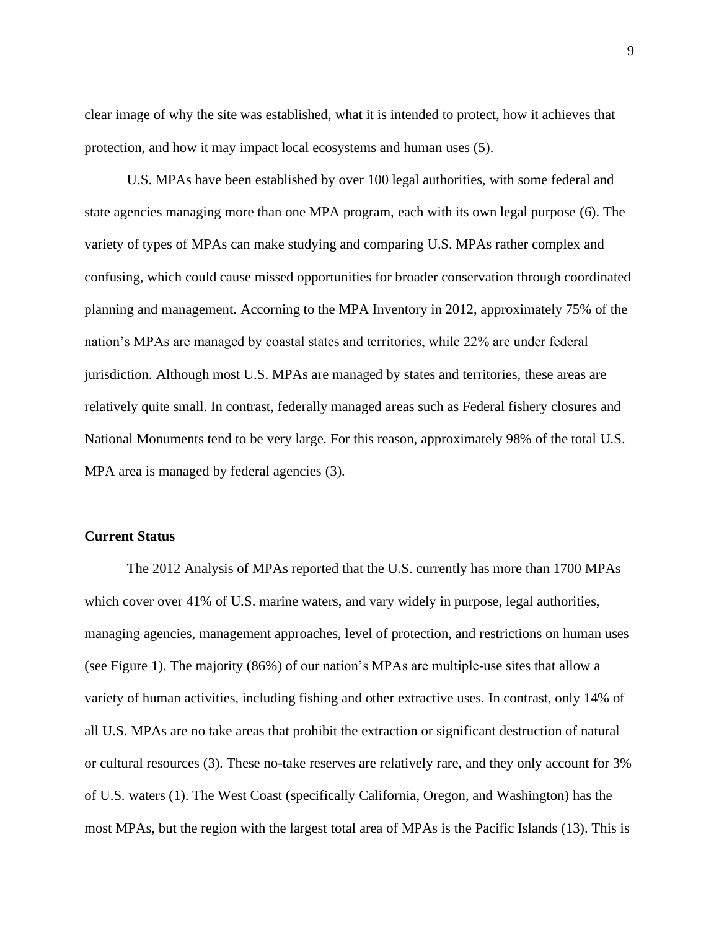clear image of why the site was established, what it is intended to protect, how it achieves that protection, and how it may impact local ecosystems and human uses (5).

U.S. MPAs have been established by over 100 legal authorities, with some federal and state agencies managing more than one MPA program, each with its own legal purpose (6). The variety of types of MPAs can make studying and comparing U.S. MPAs rather complex and confusing, which could cause missed opportunities for broader conservation through coordinated planning and management. Accorning to the MPA Inventory in 2012, approximately 75% of the nation's MPAs are managed by coastal states and territories, while 22% are under federal jurisdiction. Although most U.S. MPAs are managed by states and territories, these areas are relatively quite small. In contrast, federally managed areas such as Federal fishery closures and National Monuments tend to be very large. For this reason, approximately 98% of the total U.S. MPA area is managed by federal agencies  $(3)$ .

#### **Current Status**

The 2012 Analysis of MPAs reported that the U.S. currently has more than 1700 MPAs which cover over 41% of U.S. marine waters, and vary widely in purpose, legal authorities, managing agencies, management approaches, level of protection, and restrictions on human uses (see Figure 1). The majority (86%) of our nation's MPAs are multiple-use sites that allow a variety of human activities, including fishing and other extractive uses. In contrast, only 14% of all U.S. MPAs are no take areas that prohibit the extraction or significant destruction of natural or cultural resources (3). These no-take reserves are relatively rare, and they only account for 3% of U.S. waters (1). The West Coast (specifically California, Oregon, and Washington) has the most MPAs, but the region with the largest total area of MPAs is the Pacific Islands (13). This is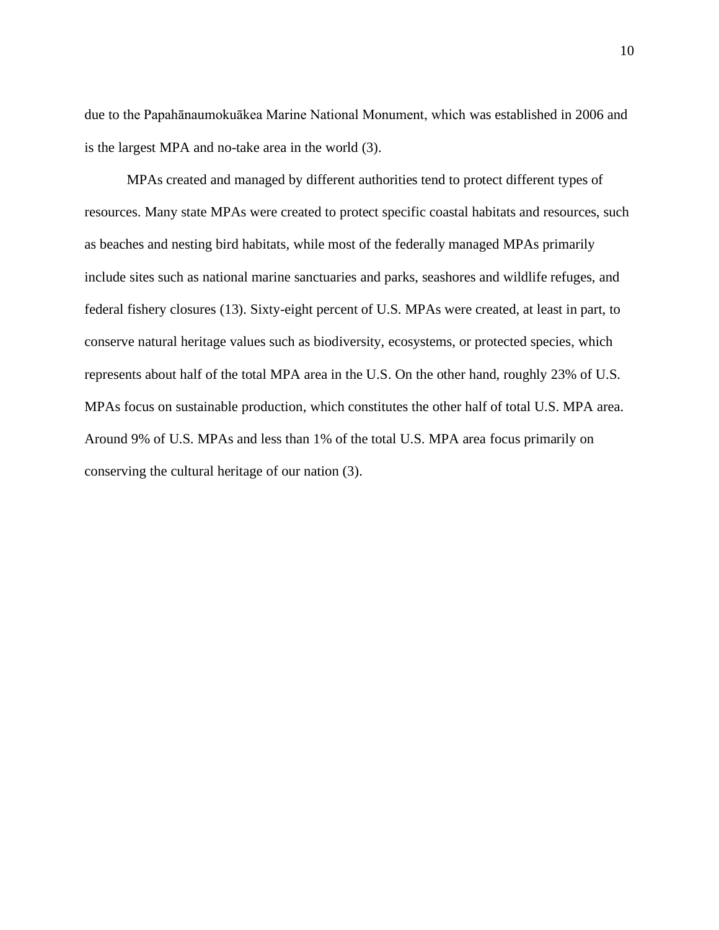due to the Papahānaumokuākea Marine National Monument, which was established in 2006 and is the largest MPA and no-take area in the world (3).

MPAs created and managed by different authorities tend to protect different types of resources. Many state MPAs were created to protect specific coastal habitats and resources, such as beaches and nesting bird habitats, while most of the federally managed MPAs primarily include sites such as national marine sanctuaries and parks, seashores and wildlife refuges, and federal fishery closures (13). Sixty-eight percent of U.S. MPAs were created, at least in part, to conserve natural heritage values such as biodiversity, ecosystems, or protected species, which represents about half of the total MPA area in the U.S. On the other hand, roughly 23% of U.S. MPAs focus on sustainable production, which constitutes the other half of total U.S. MPA area. Around 9% of U.S. MPAs and less than 1% of the total U.S. MPA area focus primarily on conserving the cultural heritage of our nation (3).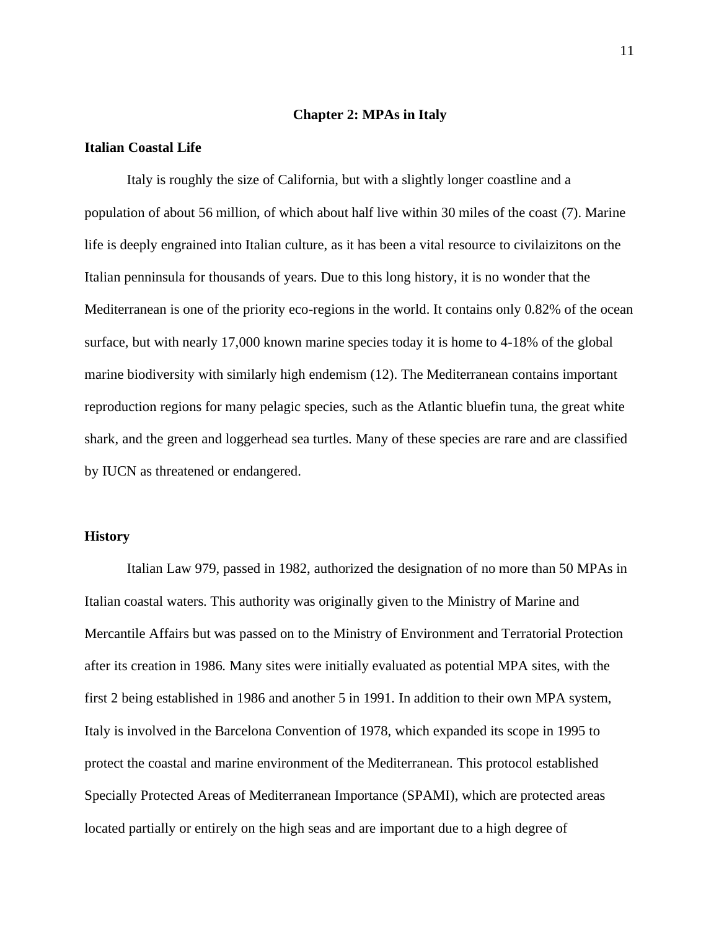#### **Chapter 2: MPAs in Italy**

#### <span id="page-13-0"></span>**Italian Coastal Life**

Italy is roughly the size of California, but with a slightly longer coastline and a population of about 56 million, of which about half live within 30 miles of the coast (7). Marine life is deeply engrained into Italian culture, as it has been a vital resource to civilaizitons on the Italian penninsula for thousands of years. Due to this long history, it is no wonder that the Mediterranean is one of the priority eco-regions in the world. It contains only 0.82% of the ocean surface, but with nearly 17,000 known marine species today it is home to 4-18% of the global marine biodiversity with similarly high endemism (12). The Mediterranean contains important reproduction regions for many pelagic species, such as the Atlantic bluefin tuna, the great white shark, and the green and loggerhead sea turtles. Many of these species are rare and are classified by IUCN as threatened or endangered.

#### **History**

Italian Law 979, passed in 1982, authorized the designation of no more than 50 MPAs in Italian coastal waters. This authority was originally given to the Ministry of Marine and Mercantile Affairs but was passed on to the Ministry of Environment and Terratorial Protection after its creation in 1986. Many sites were initially evaluated as potential MPA sites, with the first 2 being established in 1986 and another 5 in 1991. In addition to their own MPA system, Italy is involved in the Barcelona Convention of 1978, which expanded its scope in 1995 to protect the coastal and marine environment of the Mediterranean. This protocol established Specially Protected Areas of Mediterranean Importance (SPAMI), which are protected areas located partially or entirely on the high seas and are important due to a high degree of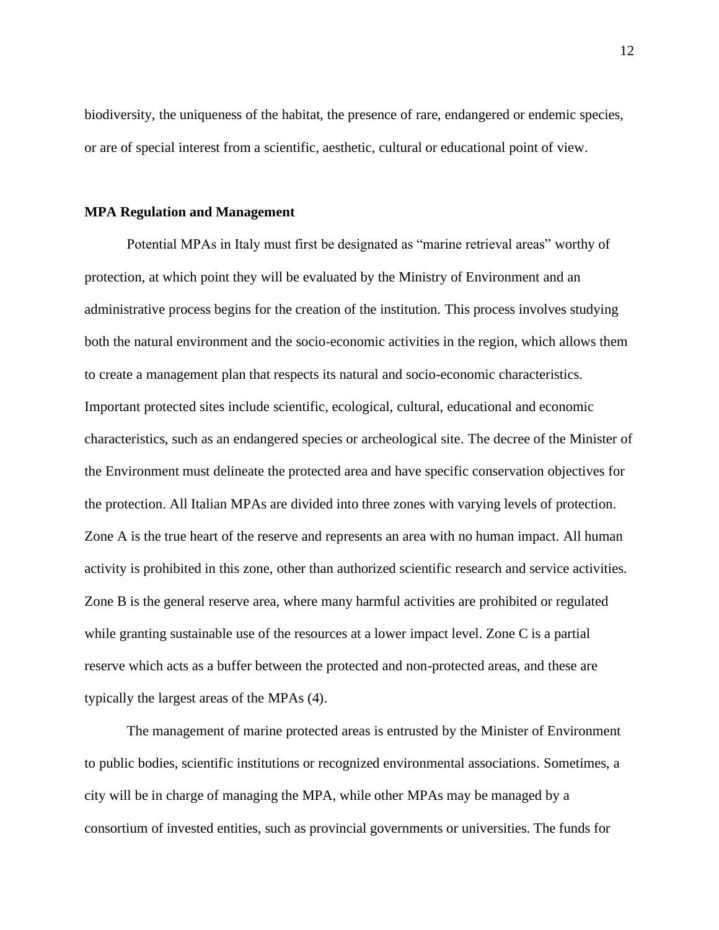biodiversity, the uniqueness of the habitat, the presence of rare, endangered or endemic species, or are of special interest from a scientific, aesthetic, cultural or educational point of view.

#### **MPA Regulation and Management**

Potential MPAs in Italy must first be designated as "marine retrieval areas" worthy of protection, at which point they will be evaluated by the Ministry of Environment and an administrative process begins for the creation of the institution. This process involves studying both the natural environment and the socio-economic activities in the region, which allows them to create a management plan that respects its natural and socio-economic characteristics. Important protected sites include scientific, ecological, cultural, educational and economic characteristics, such as an endangered species or archeological site. The decree of the Minister of the Environment must delineate the protected area and have specific conservation objectives for the protection. All Italian MPAs are divided into three zones with varying levels of protection. Zone A is the true heart of the reserve and represents an area with no human impact. All human activity is prohibited in this zone, other than authorized scientific research and service activities. Zone B is the general reserve area, where many harmful activities are prohibited or regulated while granting sustainable use of the resources at a lower impact level. Zone C is a partial reserve which acts as a buffer between the protected and non-protected areas, and these are typically the largest areas of the MPAs (4).

The management of marine protected areas is entrusted by the Minister of Environment to public bodies, scientific institutions or recognized environmental associations. Sometimes, a city will be in charge of managing the MPA, while other MPAs may be managed by a consortium of invested entities, such as provincial governments or universities. The funds for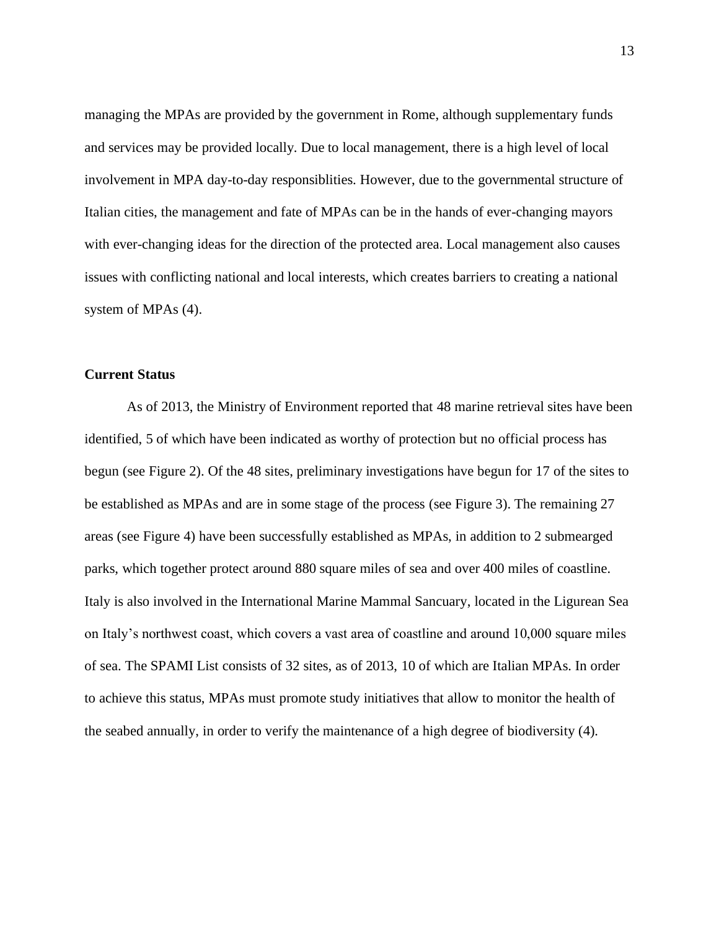managing the MPAs are provided by the government in Rome, although supplementary funds and services may be provided locally. Due to local management, there is a high level of local involvement in MPA day-to-day responsiblities. However, due to the governmental structure of Italian cities, the management and fate of MPAs can be in the hands of ever-changing mayors with ever-changing ideas for the direction of the protected area. Local management also causes issues with conflicting national and local interests, which creates barriers to creating a national system of MPAs (4).

#### **Current Status**

As of 2013, the Ministry of Environment reported that 48 marine retrieval sites have been identified, 5 of which have been indicated as worthy of protection but no official process has begun (see Figure 2). Of the 48 sites, preliminary investigations have begun for 17 of the sites to be established as MPAs and are in some stage of the process (see Figure 3). The remaining 27 areas (see Figure 4) have been successfully established as MPAs, in addition to 2 submearged parks, which together protect around 880 square miles of sea and over 400 miles of coastline. Italy is also involved in the International Marine Mammal Sancuary, located in the Ligurean Sea on Italy's northwest coast, which covers a vast area of coastline and around 10,000 square miles of sea. The SPAMI List consists of 32 sites, as of 2013, 10 of which are Italian MPAs. In order to achieve this status, MPAs must promote study initiatives that allow to monitor the health of the seabed annually, in order to verify the maintenance of a high degree of biodiversity (4).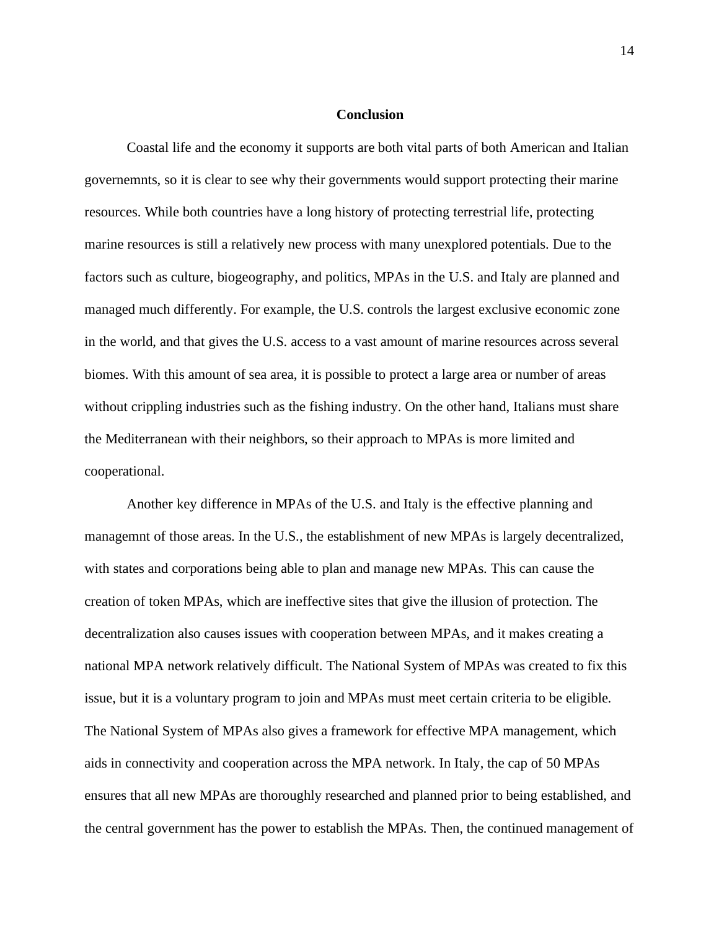#### <span id="page-16-0"></span>**Conclusion**

Coastal life and the economy it supports are both vital parts of both American and Italian governemnts, so it is clear to see why their governments would support protecting their marine resources. While both countries have a long history of protecting terrestrial life, protecting marine resources is still a relatively new process with many unexplored potentials. Due to the factors such as culture, biogeography, and politics, MPAs in the U.S. and Italy are planned and managed much differently. For example, the U.S. controls the largest exclusive economic zone in the world, and that gives the U.S. access to a vast amount of marine resources across several biomes. With this amount of sea area, it is possible to protect a large area or number of areas without crippling industries such as the fishing industry. On the other hand, Italians must share the Mediterranean with their neighbors, so their approach to MPAs is more limited and cooperational.

Another key difference in MPAs of the U.S. and Italy is the effective planning and managemnt of those areas. In the U.S., the establishment of new MPAs is largely decentralized, with states and corporations being able to plan and manage new MPAs. This can cause the creation of token MPAs, which are ineffective sites that give the illusion of protection. The decentralization also causes issues with cooperation between MPAs, and it makes creating a national MPA network relatively difficult. The National System of MPAs was created to fix this issue, but it is a voluntary program to join and MPAs must meet certain criteria to be eligible. The National System of MPAs also gives a framework for effective MPA management, which aids in connectivity and cooperation across the MPA network. In Italy, the cap of 50 MPAs ensures that all new MPAs are thoroughly researched and planned prior to being established, and the central government has the power to establish the MPAs. Then, the continued management of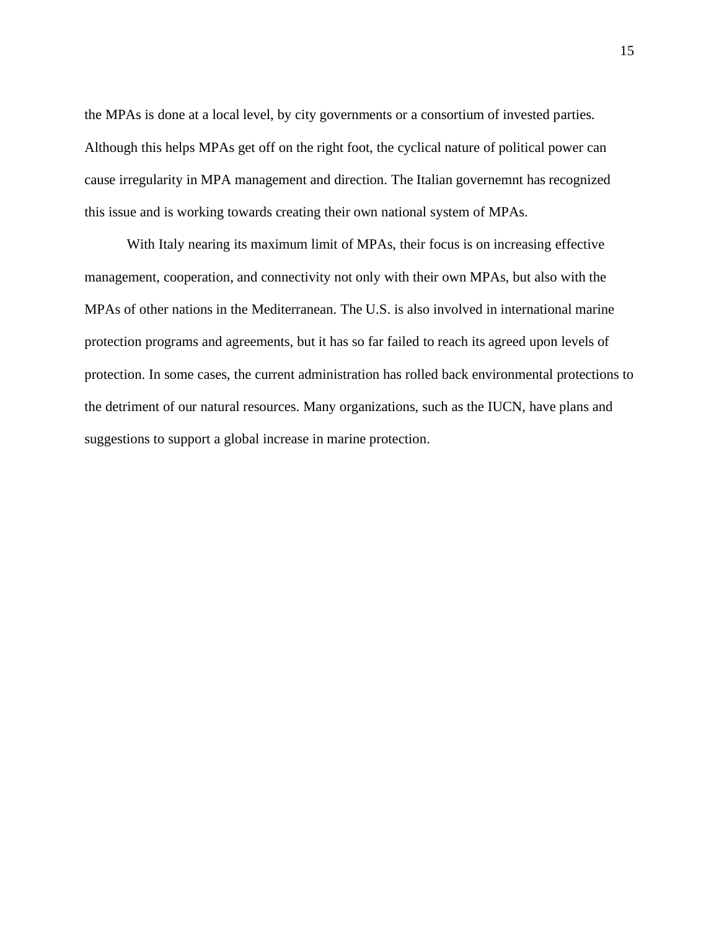the MPAs is done at a local level, by city governments or a consortium of invested parties. Although this helps MPAs get off on the right foot, the cyclical nature of political power can cause irregularity in MPA management and direction. The Italian governemnt has recognized this issue and is working towards creating their own national system of MPAs.

With Italy nearing its maximum limit of MPAs, their focus is on increasing effective management, cooperation, and connectivity not only with their own MPAs, but also with the MPAs of other nations in the Mediterranean. The U.S. is also involved in international marine protection programs and agreements, but it has so far failed to reach its agreed upon levels of protection. In some cases, the current administration has rolled back environmental protections to the detriment of our natural resources. Many organizations, such as the IUCN, have plans and suggestions to support a global increase in marine protection.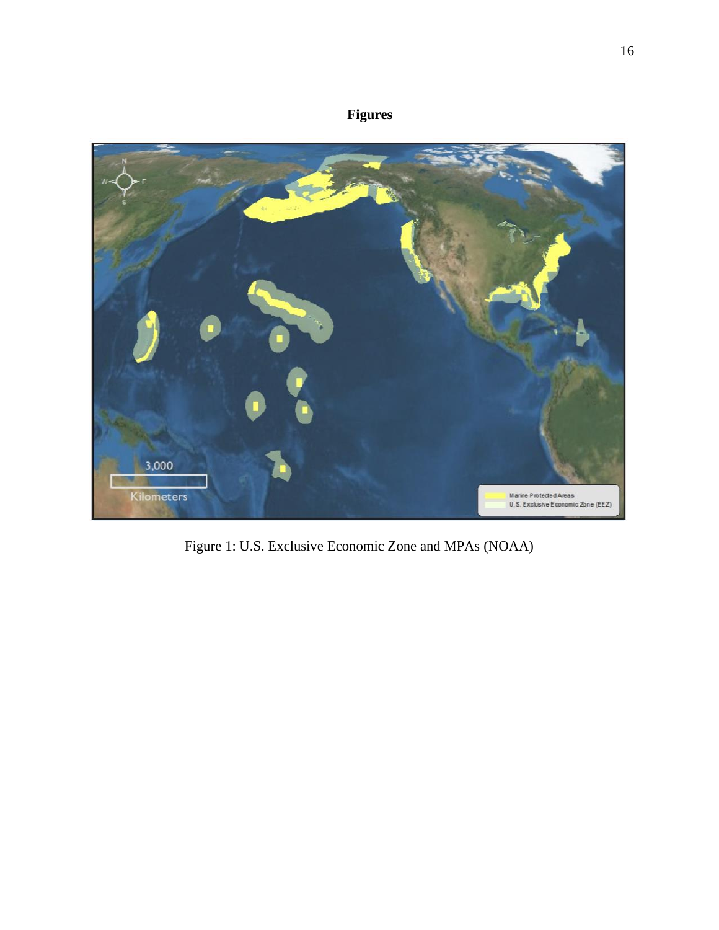# **Figures**

<span id="page-18-0"></span>

Figure 1: U.S. Exclusive Economic Zone and MPAs (NOAA)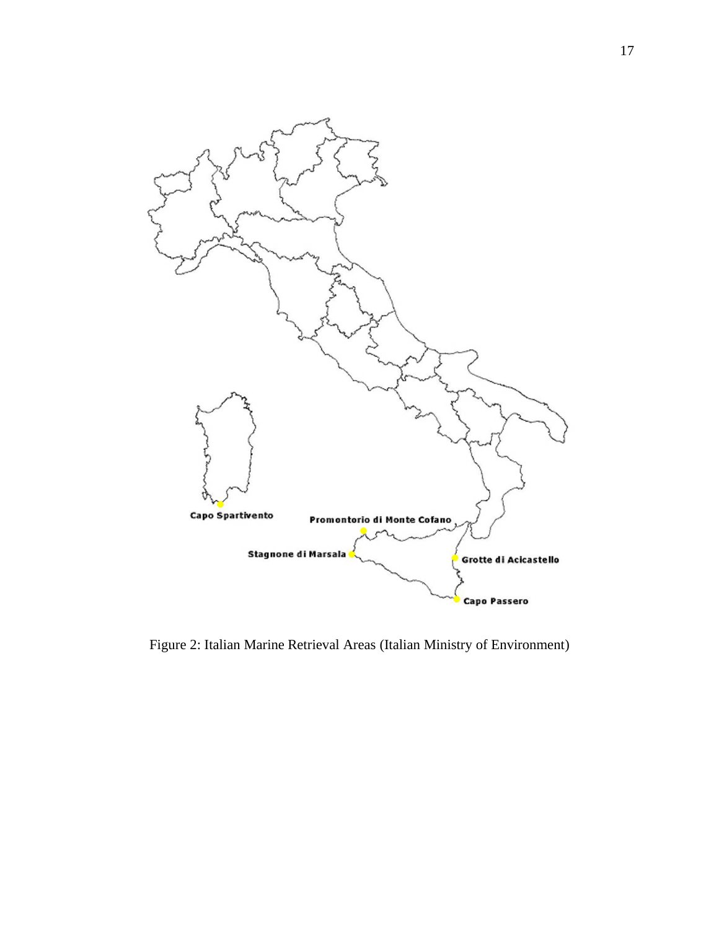

Figure 2: Italian Marine Retrieval Areas (Italian Ministry of Environment)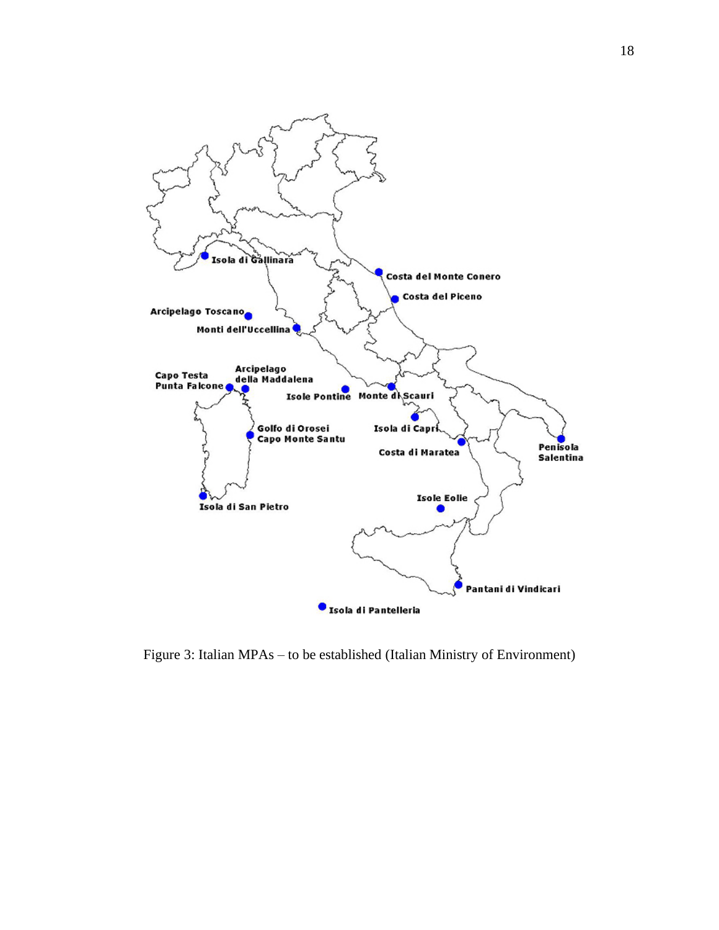

Figure 3: Italian MPAs – to be established (Italian Ministry of Environment)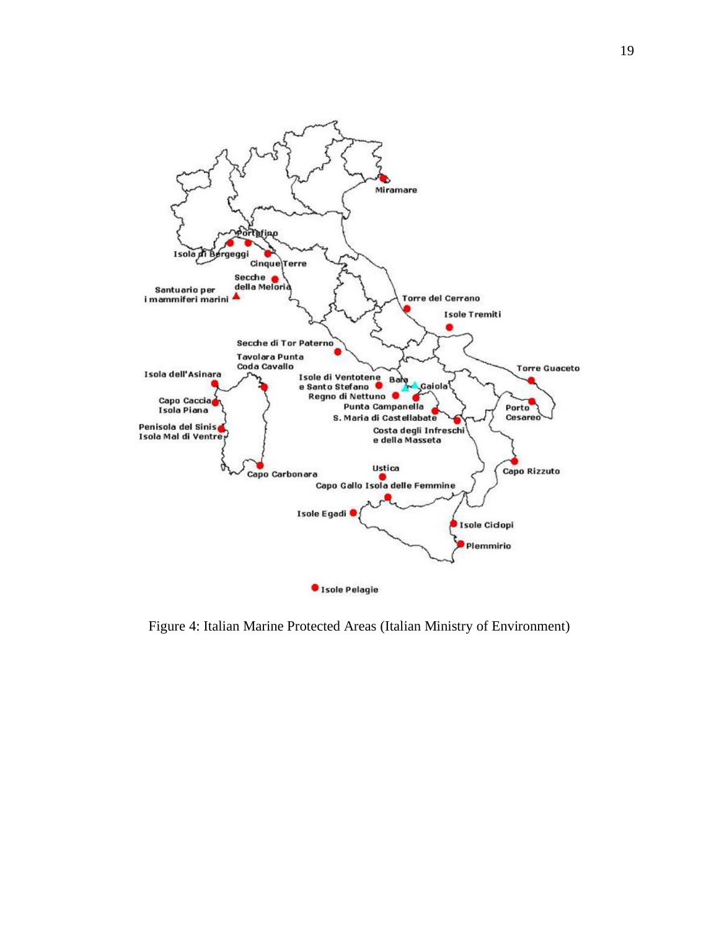

Figure 4: Italian Marine Protected Areas (Italian Ministry of Environment)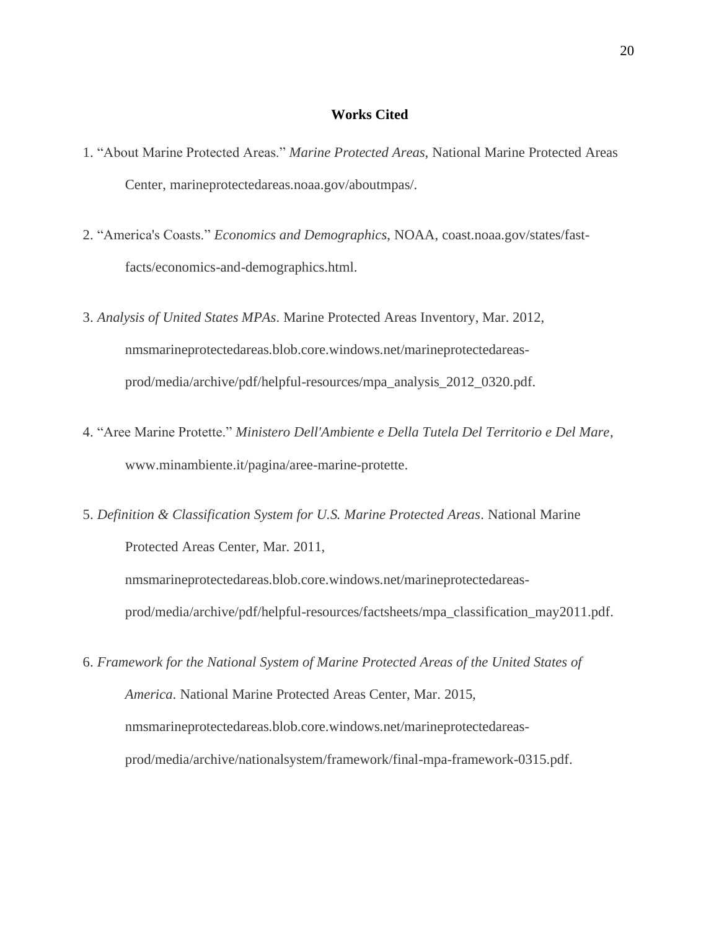#### **Works Cited**

- <span id="page-22-0"></span>1. "About Marine Protected Areas." *Marine Protected Areas*, National Marine Protected Areas Center, marineprotectedareas.noaa.gov/aboutmpas/.
- 2. "America's Coasts." *Economics and Demographics*, NOAA, coast.noaa.gov/states/fastfacts/economics-and-demographics.html.
- 3. *Analysis of United States MPAs*. Marine Protected Areas Inventory, Mar. 2012, nmsmarineprotectedareas.blob.core.windows.net/marineprotectedareasprod/media/archive/pdf/helpful-resources/mpa\_analysis\_2012\_0320.pdf.
- 4. "Aree Marine Protette." *Ministero Dell'Ambiente e Della Tutela Del Territorio e Del Mare*, www.minambiente.it/pagina/aree-marine-protette.
- 5. *Definition & Classification System for U.S. Marine Protected Areas*. National Marine Protected Areas Center, Mar. 2011,

nmsmarineprotectedareas.blob.core.windows.net/marineprotectedareasprod/media/archive/pdf/helpful-resources/factsheets/mpa\_classification\_may2011.pdf.

6. *Framework for the National System of Marine Protected Areas of the United States of America*. National Marine Protected Areas Center, Mar. 2015, nmsmarineprotectedareas.blob.core.windows.net/marineprotectedareasprod/media/archive/nationalsystem/framework/final-mpa-framework-0315.pdf.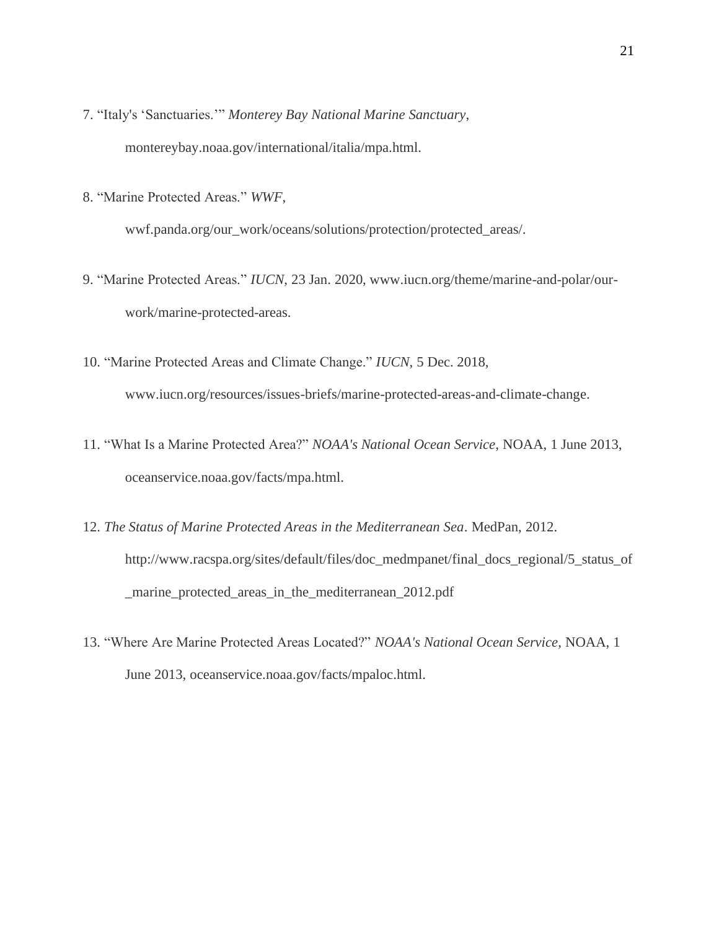- 7. "Italy's 'Sanctuaries.'" *Monterey Bay National Marine Sanctuary*, montereybay.noaa.gov/international/italia/mpa.html.
- 8. "Marine Protected Areas." *WWF*,

wwf.panda.org/our\_work/oceans/solutions/protection/protected\_areas/.

- 9. "Marine Protected Areas." *IUCN*, 23 Jan. 2020, www.iucn.org/theme/marine-and-polar/ourwork/marine-protected-areas.
- 10. "Marine Protected Areas and Climate Change." *IUCN*, 5 Dec. 2018, www.iucn.org/resources/issues-briefs/marine-protected-areas-and-climate-change.
- 11. "What Is a Marine Protected Area?" *NOAA's National Ocean Service*, NOAA, 1 June 2013, oceanservice.noaa.gov/facts/mpa.html.
- 12. *The Status of Marine Protected Areas in the Mediterranean Sea*. MedPan, 2012. http://www.racspa.org/sites/default/files/doc\_medmpanet/final\_docs\_regional/5\_status\_of \_marine\_protected\_areas\_in\_the\_mediterranean\_2012.pdf
- 13. "Where Are Marine Protected Areas Located?" *NOAA's National Ocean Service*, NOAA, 1 June 2013, oceanservice.noaa.gov/facts/mpaloc.html.